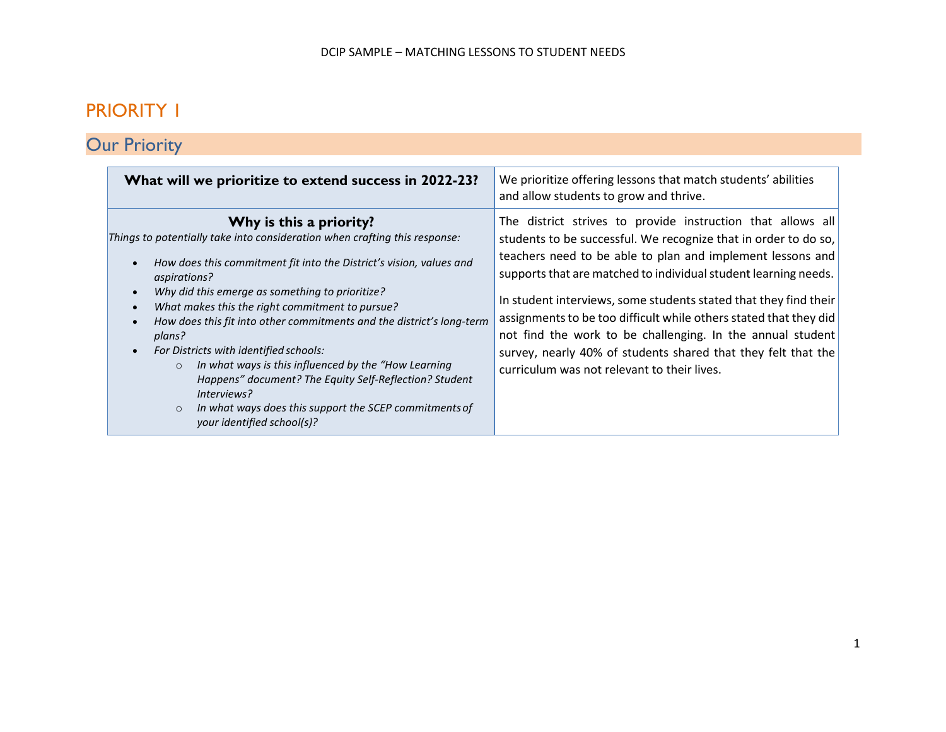## PRIORITY 1

# **Our Priority**

| What will we prioritize to extend success in 2022-23?                                                                                                                                                                                                                                                                                                                                                                                                                                                                                                                                                                                                                           | We prioritize offering lessons that match students' abilities<br>and allow students to grow and thrive.                                                                                                                                                                                                                                                                                                                                                                                                                                                                                |
|---------------------------------------------------------------------------------------------------------------------------------------------------------------------------------------------------------------------------------------------------------------------------------------------------------------------------------------------------------------------------------------------------------------------------------------------------------------------------------------------------------------------------------------------------------------------------------------------------------------------------------------------------------------------------------|----------------------------------------------------------------------------------------------------------------------------------------------------------------------------------------------------------------------------------------------------------------------------------------------------------------------------------------------------------------------------------------------------------------------------------------------------------------------------------------------------------------------------------------------------------------------------------------|
| Why is this a priority?<br>Things to potentially take into consideration when crafting this response:<br>How does this commitment fit into the District's vision, values and<br>aspirations?<br>Why did this emerge as something to prioritize?<br>What makes this the right commitment to pursue?<br>How does this fit into other commitments and the district's long-term<br>plans?<br>For Districts with identified schools:<br>In what ways is this influenced by the "How Learning<br>$\circ$<br>Happens" document? The Equity Self-Reflection? Student<br>Interviews?<br>In what ways does this support the SCEP commitments of<br>$\Omega$<br>your identified school(s)? | The district strives to provide instruction that allows all<br>students to be successful. We recognize that in order to do so,<br>teachers need to be able to plan and implement lessons and<br>supports that are matched to individual student learning needs.<br>In student interviews, some students stated that they find their<br>assignments to be too difficult while others stated that they did<br>not find the work to be challenging. In the annual student<br>survey, nearly 40% of students shared that they felt that the<br>curriculum was not relevant to their lives. |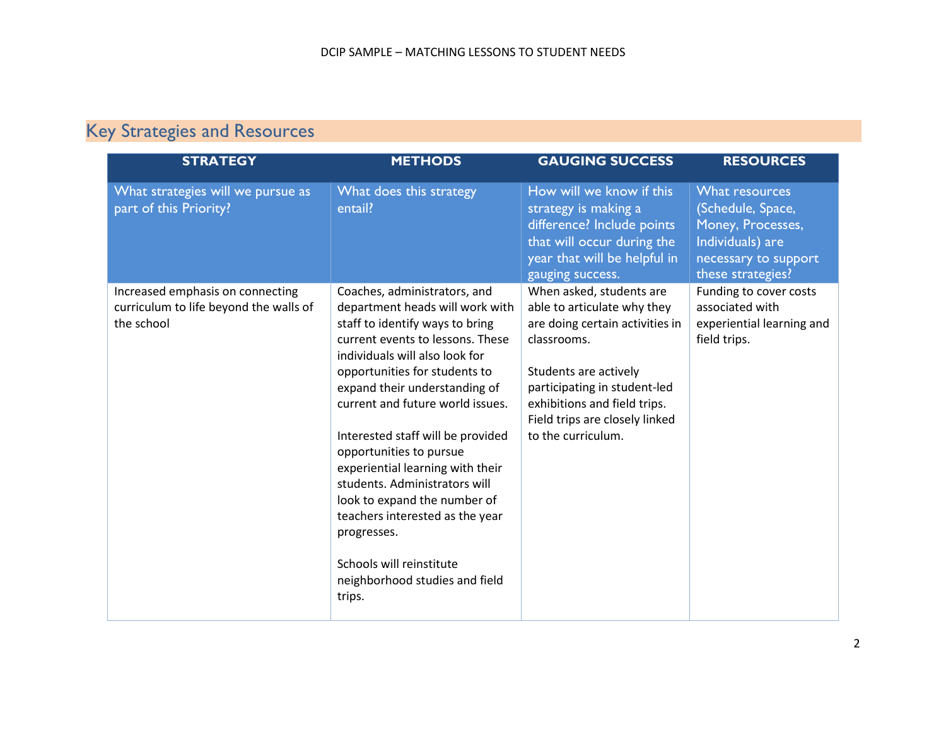## Key Strategies and Resources

| <b>STRATEGY</b>                                                                          | <b>METHODS</b>                                                                                                                                                                                                                                                                                                                                                                                                                                                                                                                                                                | <b>GAUGING SUCCESS</b>                                                                                                                                                                                                                                     | <b>RESOURCES</b>                                                                                                          |
|------------------------------------------------------------------------------------------|-------------------------------------------------------------------------------------------------------------------------------------------------------------------------------------------------------------------------------------------------------------------------------------------------------------------------------------------------------------------------------------------------------------------------------------------------------------------------------------------------------------------------------------------------------------------------------|------------------------------------------------------------------------------------------------------------------------------------------------------------------------------------------------------------------------------------------------------------|---------------------------------------------------------------------------------------------------------------------------|
| What strategies will we pursue as<br>part of this Priority?                              | What does this strategy<br>entail?                                                                                                                                                                                                                                                                                                                                                                                                                                                                                                                                            | How will we know if this<br>strategy is making a<br>difference? Include points<br>that will occur during the<br>year that will be helpful in<br>gauging success.                                                                                           | What resources<br>(Schedule, Space,<br>Money, Processes,<br>Individuals) are<br>necessary to support<br>these strategies? |
| Increased emphasis on connecting<br>curriculum to life beyond the walls of<br>the school | Coaches, administrators, and<br>department heads will work with<br>staff to identify ways to bring<br>current events to lessons. These<br>individuals will also look for<br>opportunities for students to<br>expand their understanding of<br>current and future world issues.<br>Interested staff will be provided<br>opportunities to pursue<br>experiential learning with their<br>students. Administrators will<br>look to expand the number of<br>teachers interested as the year<br>progresses.<br>Schools will reinstitute<br>neighborhood studies and field<br>trips. | When asked, students are<br>able to articulate why they<br>are doing certain activities in<br>classrooms.<br>Students are actively<br>participating in student-led<br>exhibitions and field trips.<br>Field trips are closely linked<br>to the curriculum. | Funding to cover costs<br>associated with<br>experiential learning and<br>field trips.                                    |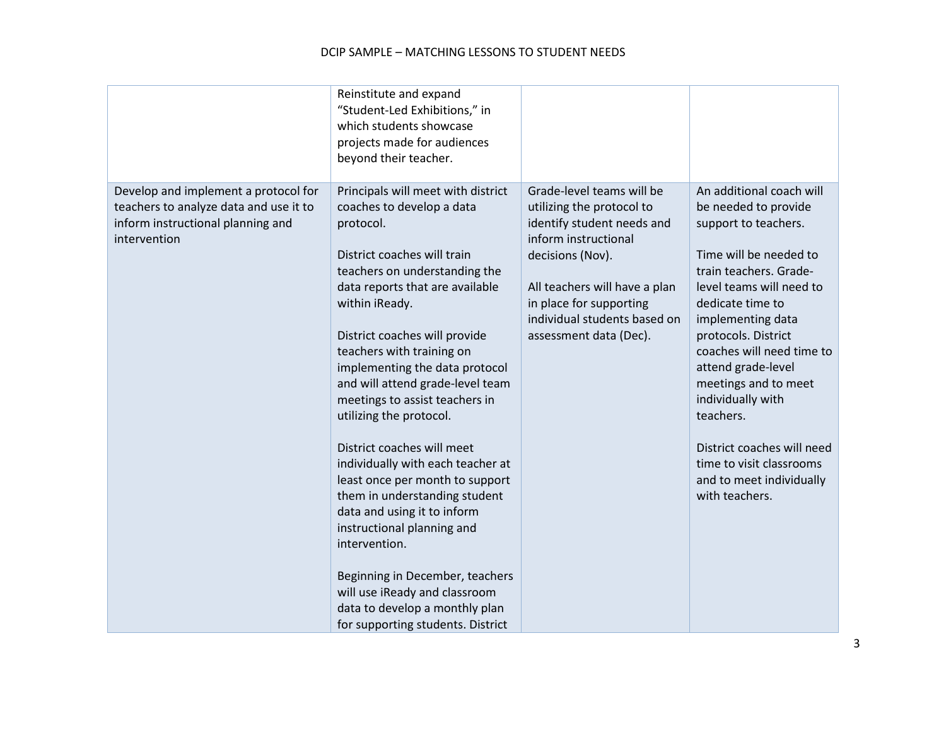#### DCIP SAMPLE – MATCHING LESSONS TO STUDENT NEEDS

|                                                                                                                                     | Reinstitute and expand<br>"Student-Led Exhibitions," in<br>which students showcase<br>projects made for audiences<br>beyond their teacher.                                                                                                                                                                                                                                                                                                                                                                                                                                                                                                                                                                                                                         |                                                                                                                                                                                                                                                        |                                                                                                                                                                                                                                                                                                                                                                                                                                               |
|-------------------------------------------------------------------------------------------------------------------------------------|--------------------------------------------------------------------------------------------------------------------------------------------------------------------------------------------------------------------------------------------------------------------------------------------------------------------------------------------------------------------------------------------------------------------------------------------------------------------------------------------------------------------------------------------------------------------------------------------------------------------------------------------------------------------------------------------------------------------------------------------------------------------|--------------------------------------------------------------------------------------------------------------------------------------------------------------------------------------------------------------------------------------------------------|-----------------------------------------------------------------------------------------------------------------------------------------------------------------------------------------------------------------------------------------------------------------------------------------------------------------------------------------------------------------------------------------------------------------------------------------------|
| Develop and implement a protocol for<br>teachers to analyze data and use it to<br>inform instructional planning and<br>intervention | Principals will meet with district<br>coaches to develop a data<br>protocol.<br>District coaches will train<br>teachers on understanding the<br>data reports that are available<br>within iReady.<br>District coaches will provide<br>teachers with training on<br>implementing the data protocol<br>and will attend grade-level team<br>meetings to assist teachers in<br>utilizing the protocol.<br>District coaches will meet<br>individually with each teacher at<br>least once per month to support<br>them in understanding student<br>data and using it to inform<br>instructional planning and<br>intervention.<br>Beginning in December, teachers<br>will use iReady and classroom<br>data to develop a monthly plan<br>for supporting students. District | Grade-level teams will be<br>utilizing the protocol to<br>identify student needs and<br>inform instructional<br>decisions (Nov).<br>All teachers will have a plan<br>in place for supporting<br>individual students based on<br>assessment data (Dec). | An additional coach will<br>be needed to provide<br>support to teachers.<br>Time will be needed to<br>train teachers. Grade-<br>level teams will need to<br>dedicate time to<br>implementing data<br>protocols. District<br>coaches will need time to<br>attend grade-level<br>meetings and to meet<br>individually with<br>teachers.<br>District coaches will need<br>time to visit classrooms<br>and to meet individually<br>with teachers. |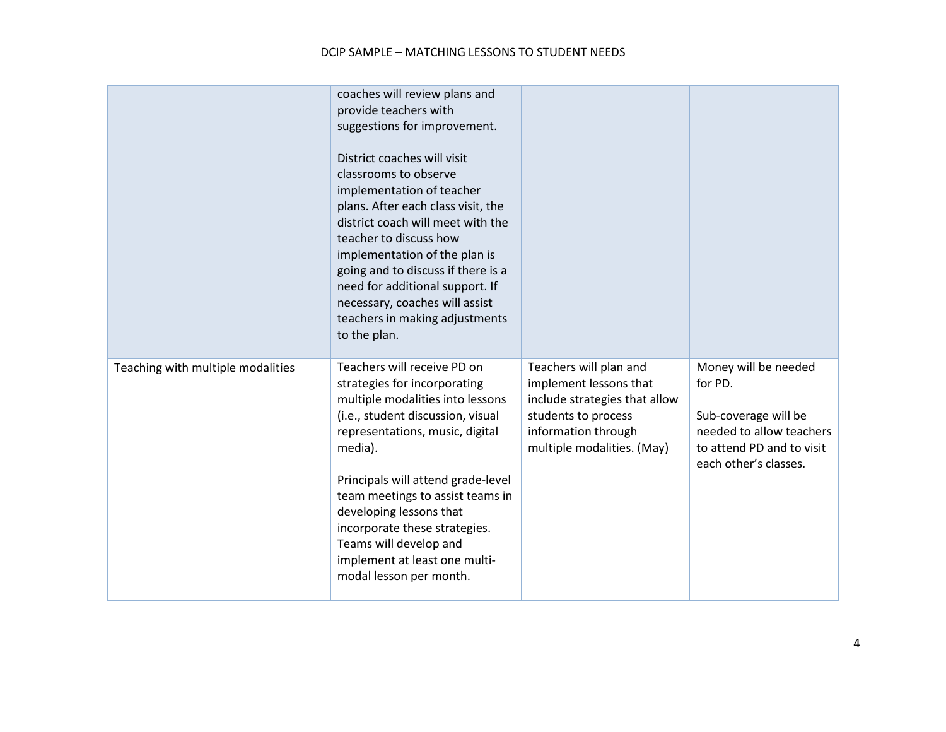#### DCIP SAMPLE – MATCHING LESSONS TO STUDENT NEEDS

|                                   | coaches will review plans and<br>provide teachers with<br>suggestions for improvement.<br>District coaches will visit<br>classrooms to observe<br>implementation of teacher<br>plans. After each class visit, the<br>district coach will meet with the<br>teacher to discuss how<br>implementation of the plan is<br>going and to discuss if there is a<br>need for additional support. If<br>necessary, coaches will assist<br>teachers in making adjustments<br>to the plan. |                                                                                                                                                               |                                                                                                                                           |
|-----------------------------------|--------------------------------------------------------------------------------------------------------------------------------------------------------------------------------------------------------------------------------------------------------------------------------------------------------------------------------------------------------------------------------------------------------------------------------------------------------------------------------|---------------------------------------------------------------------------------------------------------------------------------------------------------------|-------------------------------------------------------------------------------------------------------------------------------------------|
| Teaching with multiple modalities | Teachers will receive PD on<br>strategies for incorporating<br>multiple modalities into lessons<br>(i.e., student discussion, visual<br>representations, music, digital<br>media).<br>Principals will attend grade-level<br>team meetings to assist teams in<br>developing lessons that<br>incorporate these strategies.<br>Teams will develop and<br>implement at least one multi-<br>modal lesson per month.                                                                 | Teachers will plan and<br>implement lessons that<br>include strategies that allow<br>students to process<br>information through<br>multiple modalities. (May) | Money will be needed<br>for PD.<br>Sub-coverage will be<br>needed to allow teachers<br>to attend PD and to visit<br>each other's classes. |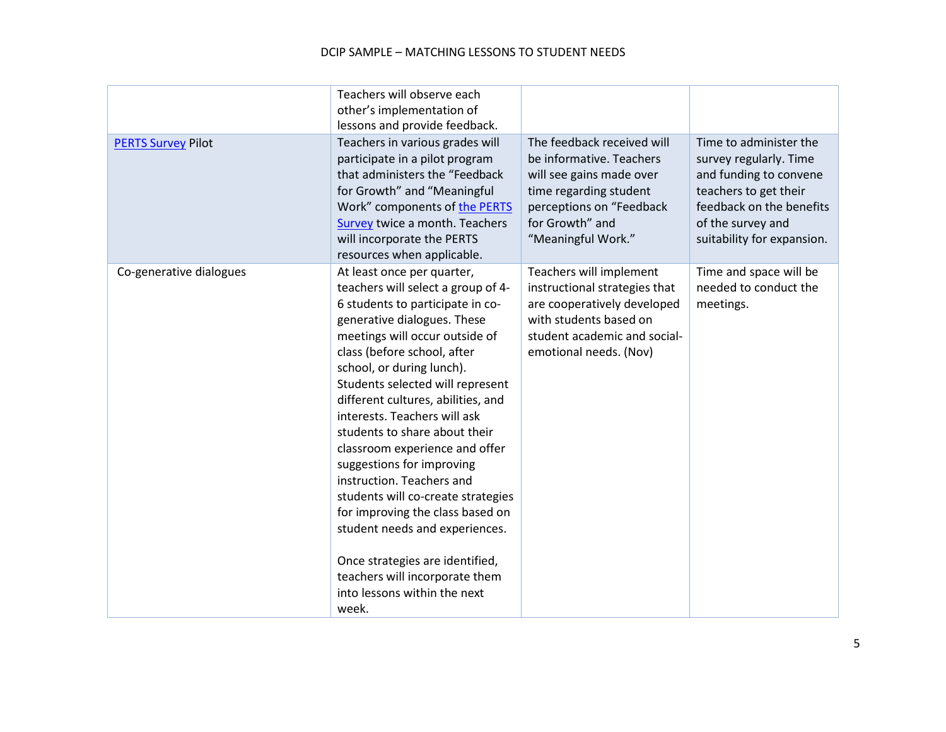#### DCIP SAMPLE – MATCHING LESSONS TO STUDENT NEEDS

|                           | Teachers will observe each<br>other's implementation of<br>lessons and provide feedback.                                                                                                                                                                                                                                                                                                                                                                                                                                                                                                                                                                                                           |                                                                                                                                                                                   |                                                                                                                                                                                    |
|---------------------------|----------------------------------------------------------------------------------------------------------------------------------------------------------------------------------------------------------------------------------------------------------------------------------------------------------------------------------------------------------------------------------------------------------------------------------------------------------------------------------------------------------------------------------------------------------------------------------------------------------------------------------------------------------------------------------------------------|-----------------------------------------------------------------------------------------------------------------------------------------------------------------------------------|------------------------------------------------------------------------------------------------------------------------------------------------------------------------------------|
| <b>PERTS Survey Pilot</b> | Teachers in various grades will<br>participate in a pilot program<br>that administers the "Feedback<br>for Growth" and "Meaningful<br>Work" components of the PERTS<br>Survey twice a month. Teachers<br>will incorporate the PERTS<br>resources when applicable.                                                                                                                                                                                                                                                                                                                                                                                                                                  | The feedback received will<br>be informative. Teachers<br>will see gains made over<br>time regarding student<br>perceptions on "Feedback<br>for Growth" and<br>"Meaningful Work." | Time to administer the<br>survey regularly. Time<br>and funding to convene<br>teachers to get their<br>feedback on the benefits<br>of the survey and<br>suitability for expansion. |
| Co-generative dialogues   | At least once per quarter,<br>teachers will select a group of 4-<br>6 students to participate in co-<br>generative dialogues. These<br>meetings will occur outside of<br>class (before school, after<br>school, or during lunch).<br>Students selected will represent<br>different cultures, abilities, and<br>interests. Teachers will ask<br>students to share about their<br>classroom experience and offer<br>suggestions for improving<br>instruction. Teachers and<br>students will co-create strategies<br>for improving the class based on<br>student needs and experiences.<br>Once strategies are identified,<br>teachers will incorporate them<br>into lessons within the next<br>week. | Teachers will implement<br>instructional strategies that<br>are cooperatively developed<br>with students based on<br>student academic and social-<br>emotional needs. (Nov)       | Time and space will be<br>needed to conduct the<br>meetings.                                                                                                                       |